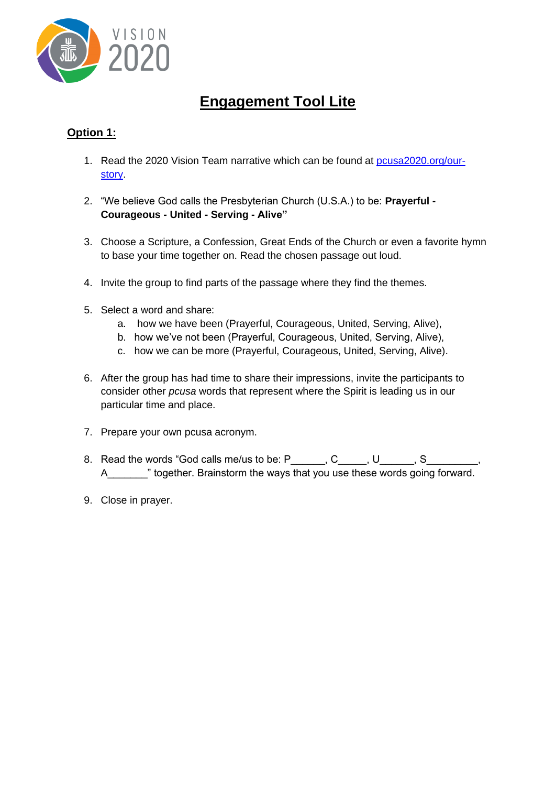

## **Engagement Tool Lite**

## **Option 1:**

- 1. Read the 2020 Vision Team narrative which can be found at [pcusa2020.org/our](https://www.pcusa2020.org/our-story)[story.](https://www.pcusa2020.org/our-story)
- 2. "We believe God calls the Presbyterian Church (U.S.A.) to be: **Prayerful - Courageous - United - Serving - Alive"**
- 3. Choose a Scripture, a Confession, Great Ends of the Church or even a favorite hymn to base your time together on. Read the chosen passage out loud.
- 4. Invite the group to find parts of the passage where they find the themes.
- 5. Select a word and share:
	- a. how we have been (Prayerful, Courageous, United, Serving, Alive),
	- b. how we've not been (Prayerful, Courageous, United, Serving, Alive),
	- c. how we can be more (Prayerful, Courageous, United, Serving, Alive).
- 6. After the group has had time to share their impressions, invite the participants to consider other *pcusa* words that represent where the Spirit is leading us in our particular time and place.
- 7. Prepare your own pcusa acronym.
- 8. Read the words "God calls me/us to be: P\_\_\_\_\_\_, C\_\_\_\_\_, U\_\_\_\_\_, S\_\_\_\_\_\_ A\_\_\_\_\_\_\_" together. Brainstorm the ways that you use these words going forward.
- 9. Close in prayer.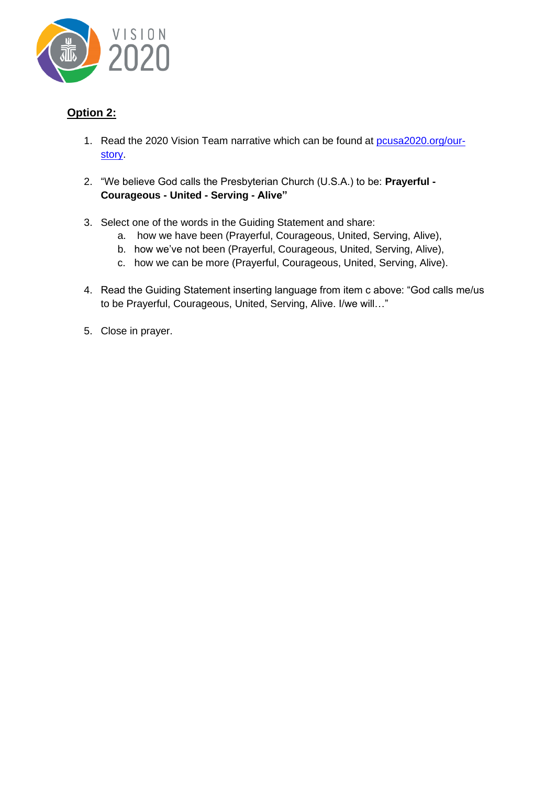

## **Option 2:**

- 1. Read the 2020 Vision Team narrative which can be found at [pcusa2020.org/our](https://www.pcusa2020.org/our-story)[story.](https://www.pcusa2020.org/our-story)
- 2. "We believe God calls the Presbyterian Church (U.S.A.) to be: **Prayerful - Courageous - United - Serving - Alive"**
- 3. Select one of the words in the Guiding Statement and share:
	- a. how we have been (Prayerful, Courageous, United, Serving, Alive),
	- b. how we've not been (Prayerful, Courageous, United, Serving, Alive),
	- c. how we can be more (Prayerful, Courageous, United, Serving, Alive).
- 4. Read the Guiding Statement inserting language from item c above: "God calls me/us to be Prayerful, Courageous, United, Serving, Alive. I/we will…"
- 5. Close in prayer.